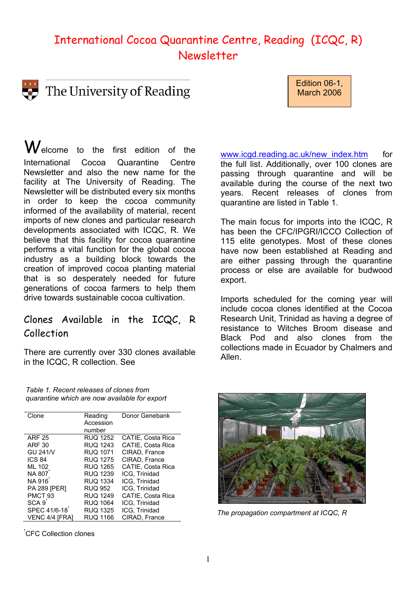# International Cocoa Quarantine Centre, Reading (ICQC, R) Newsletter



The University of Reading

Edition 06-1, March 2006

Welcome to the first edition of the International Cocoa Quarantine Centre Newsletter and also the new name for the facility at The University of Reading. The Newsletter will be distributed every six months in order to keep the cocoa community informed of the availability of material, recent imports of new clones and particular research developments associated with ICQC, R. We believe that this facility for cocoa quarantine performs a vital function for the global cocoa industry as a building block towards the creation of improved cocoa planting material that is so desperately needed for future generations of cocoa farmers to help them drive towards sustainable cocoa cultivation.

# Clones Available in the ICQC, R Collection

There are currently over 330 clones available in the ICQC, R collection. See

www.icgd.reading.ac.uk/new\_index.htm for the full list. Additionally, over 100 clones are passing through quarantine and will be available during the course of the next two [years. Recent releases of clones](http://www.icgd.reading.ac.uk/new_index.htm) from quarantine are listed in Table 1.

The main focus for imports into the ICQC, R has been the CFC/IPGRI/ICCO Collection of 115 elite genotypes. Most of these clones have now been established at Reading and are either passing through the quarantine process or else are available for budwood export.

Imports scheduled for the coming year will include cocoa clones identified at the Cocoa Research Unit, Trinidad as having a degree of resistance to Witches Broom disease and Black Pod and also clones from the collections made in Ecuador by Chalmers and Allen.



The propagation compartment at ICQC, R

 *Table 1. Recent releases of clones from quarantine which are now available for export* 

| Clone                 | Reading         | Donor Genebank    |
|-----------------------|-----------------|-------------------|
|                       | Accession       |                   |
|                       | number          |                   |
| <b>ARF 25</b>         | <b>RUQ 1252</b> | CATIE, Costa Rica |
| <b>ARF 30</b>         | <b>RUQ 1243</b> | CATIE, Costa Rica |
| <b>GU 241/V</b>       | <b>RUQ 1071</b> | CIRAD, France     |
| ICS 84                | <b>RUQ 1275</b> | CIRAD, France     |
| ML 102                | <b>RUQ 1265</b> | CATIE. Costa Rica |
| NA 807                | <b>RUQ 1239</b> | ICG. Trinidad     |
| NA 916                | <b>RUQ 1334</b> | ICG, Trinidad     |
| <b>PA 289 [PER]</b>   | <b>RUQ 952</b>  | ICG, Trinidad     |
| PMCT <sub>93</sub>    | <b>RUQ 1249</b> | CATIE. Costa Rica |
| SCA <sub>9</sub>      | <b>RUQ 1064</b> | ICG. Trinidad     |
| SPEC 41/6-18          | <b>RUQ 1325</b> | ICG. Trinidad     |
| <b>VENC 4/4 IFRAI</b> | <b>RUQ 1166</b> | CIRAD, France     |

\* CFC Collection clones